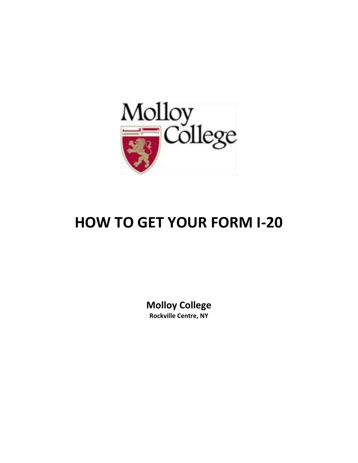

# **HOW TO GET YOUR FORM I-20**

**Molloy College Rockville Centre, NY**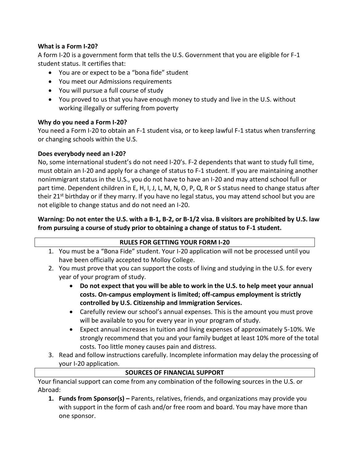#### **What is a Form I-20?**

A form I-20 is a government form that tells the U.S. Government that you are eligible for F-1 student status. It certifies that:

- You are or expect to be a "bona fide" student
- You meet our Admissions requirements
- You will pursue a full course of study
- You proved to us that you have enough money to study and live in the U.S. without working illegally or suffering from poverty

#### **Why do you need a Form I-20?**

You need a Form I-20 to obtain an F-1 student visa, or to keep lawful F-1 status when transferring or changing schools within the U.S.

#### **Does everybody need an I-20?**

No, some international student's do not need I-20's. F-2 dependents that want to study full time, must obtain an I-20 and apply for a change of status to F-1 student. If you are maintaining another nonimmigrant status in the U.S., you do not have to have an I-20 and may attend school full or part time. Dependent children in E, H, I, J, L, M, N, O, P, Q, R or S status need to change status after their 21<sup>st</sup> birthday or if they marry. If you have no legal status, you may attend school but you are not eligible to change status and do not need an I-20.

### **Warning: Do not enter the U.S. with a B-1, B-2, or B-1/2 visa. B visitors are prohibited by U.S. law from pursuing a course of study prior to obtaining a change of status to F-1 student.**

| <b>RULES FOR GETTING YOUR FORM I-20</b> |                                                                                                                                                                        |  |  |  |  |
|-----------------------------------------|------------------------------------------------------------------------------------------------------------------------------------------------------------------------|--|--|--|--|
|                                         | 1. You must be a "Bona Fide" student. Your I-20 application will not be processed until you                                                                            |  |  |  |  |
|                                         | have been officially accepted to Molloy College.                                                                                                                       |  |  |  |  |
|                                         | 2. You must prove that you can support the costs of living and studying in the U.S. for every                                                                          |  |  |  |  |
|                                         | year of your program of study.                                                                                                                                         |  |  |  |  |
|                                         | Do not expect that you will be able to work in the U.S. to help meet your annual                                                                                       |  |  |  |  |
|                                         | costs. On-campus employment is limited; off-campus employment is strictly                                                                                              |  |  |  |  |
|                                         | controlled by U.S. Citizenship and Immigration Services.                                                                                                               |  |  |  |  |
|                                         | • Carefully review our school's annual expenses. This is the amount you must prove                                                                                     |  |  |  |  |
|                                         | will be available to you for every year in your program of study.                                                                                                      |  |  |  |  |
|                                         | Expect annual increases in tuition and living expenses of approximately 5-10%. We<br>strongly recommend that you and your family budget at least 10% more of the total |  |  |  |  |
|                                         |                                                                                                                                                                        |  |  |  |  |

costs. Too little money causes pain and distress. 3. Read and follow instructions carefully. Incomplete information may delay the processing of your I-20 application.

#### **SOURCES OF FINANCIAL SUPPORT**

Your financial support can come from any combination of the following sources in the U.S. or Abroad:

**1. Funds from Sponsor(s) –** Parents, relatives, friends, and organizations may provide you with support in the form of cash and/or free room and board. You may have more than one sponsor.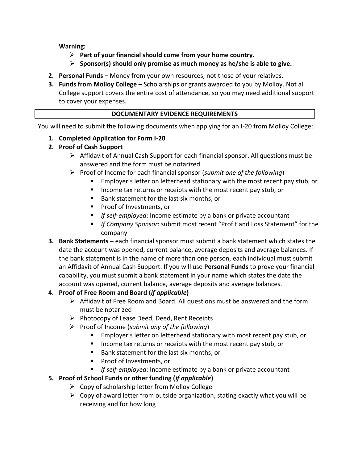**Warning:**

- **Part of your financial should come from your home country.**
- **Sponsor(s) should only promise as much money as he/she is able to give.**
- **2. Personal Funds –** Money from your own resources, not those of your relatives.
- **3. Funds from Molloy College –** Scholarships or grants awarded to you by Molloy. Not all College support covers the entire cost of attendance, so you may need additional support to cover your expenses.

#### **DOCUMENTARY EVIDENCE REQUIREMENTS**

You will need to submit the following documents when applying for an I-20 from Molloy College:

#### **1. Completed Application for Form I-20**

#### **2. Proof of Cash Support**

- $\triangleright$  Affidavit of Annual Cash Support for each financial sponsor. All questions must be answered and the form must be notarized.
- Proof of Income for each financial sponsor (*submit one of the following*)
	- Employer's letter on letterhead stationary with the most recent pay stub, or
	- **IF** Income tax returns or receipts with the most recent pay stub, or
	- Bank statement for the last six months, or
	- **Proof of Investments, or**
	- *If self-employed*: Income estimate by a bank or private accountant
	- *If Company Sponsor*: submit most recent "Profit and Loss Statement" for the company
- **3. Bank Statements –** each financial sponsor must submit a bank statement which states the date the account was opened, current balance, average deposits and average balances. If the bank statement is in the name of more than one person, each individual must submit an Affidavit of Annual Cash Support. If you will use **Personal Funds** to prove your financial capability, you must submit a bank statement in your name which states the date the account was opened, current balance, average deposits and average balances.

#### **4. Proof of Free Room and Board (***if applicable***)**

- $\triangleright$  Affidavit of Free Room and Board. All questions must be answered and the form must be notarized
- $\triangleright$  Photocopy of Lease Deed, Deed, Rent Receipts
- Proof of Income (*submit any of the following*)
	- **Employer's letter on letterhead stationary with most recent pay stub, or**
	- **IF** Income tax returns or receipts with the most recent pay stub, or
	- Bank statement for the last six months, or
	- **Proof of Investments, or**
	- **If self-employed: Income estimate by a bank or private accountant**

#### **5. Proof of School Funds or other funding (***if applicable***)**

- $\triangleright$  Copy of scholarship letter from Molloy College
- $\triangleright$  Copy of award letter from outside organization, stating exactly what you will be receiving and for how long